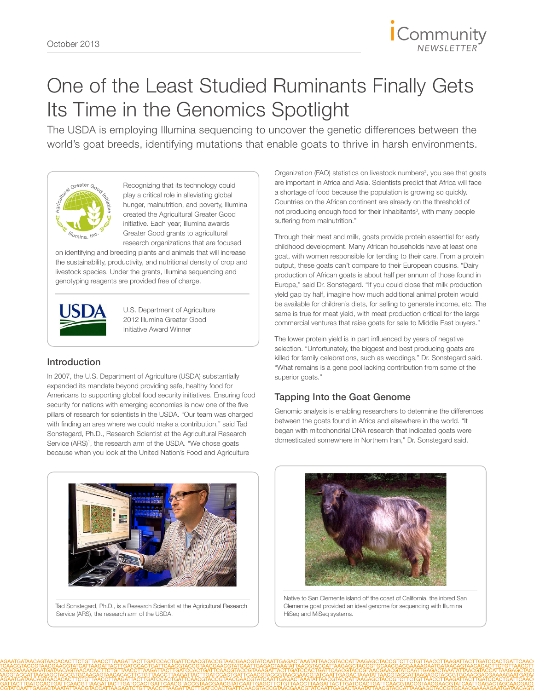

# One of the Least Studied Ruminants Finally Gets Its Time in the Genomics Spotlight

The USDA is employing Illumina sequencing to uncover the genetic differences between the world's goat breeds, identifying mutations that enable goats to thrive in harsh environments.



Recognizing that its technology could play a critical role in alleviating global hunger, malnutrition, and poverty, Illumina created the Agricultural Greater Good initiative. Each year, Illumina awards Greater Good grants to agricultural research organizations that are focused

on identifying and breeding plants and animals that will increase the sustainability, productivity, and nutritional density of crop and livestock species. Under the grants, Illumina sequencing and genotyping reagents are provided free of charge.



U.S. Department of Agriculture 2012 Illumina Greater Good Initiative Award Winner

# Introduction

In 2007, the U.S. Department of Agriculture (USDA) substantially expanded its mandate beyond providing safe, healthy food for Americans to supporting global food security initiatives. Ensuring food security for nations with emerging economies is now one of the five pillars of research for scientists in the USDA. "Our team was charged with finding an area where we could make a contribution," said Tad Sonstegard, Ph.D., Research Scientist at the [Agricultural Research](http://www.ars.usda.gov/main/main.htm)  Service (ARS)<sup>1</sup>, the research arm of the USDA. "We chose goats because when you look at the United Nation's Food and Agriculture



Tad Sonstegard, Ph.D., is a Research Scientist at the Agricultural Research Service (ARS), the research arm of the USDA.

Organization (FAO) statistics on livestock numbers<sup>2</sup>, you see that goats are important in Africa and Asia. Scientists predict that Africa will face a shortage of food because the population is growing so quickly. Countries on the African continent are already on the threshold of not producing enough food for their inhabitants<sup>3</sup>, with many people suffering from malnutrition."

Through their meat and milk, goats provide protein essential for early childhood development. Many African households have at least one goat, with women responsible for tending to their care. From a protein output, these goats can't compare to their European cousins. "Dairy production of African goats is about half per annum of those found in Europe," said Dr. Sonstegard. "If you could close that milk production yield gap by half, imagine how much additional animal protein would be available for children's diets, for selling to generate income, etc. The same is true for meat yield, with meat production critical for the large commercial ventures that raise goats for sale to Middle East buyers."

The lower protein yield is in part influenced by years of negative selection. "Unfortunately, the biggest and best producing goats are killed for family celebrations, such as weddings," Dr. Sonstegard said. "What remains is a gene pool lacking contribution from some of the superior goats."

# Tapping Into the Goat Genome

Genomic analysis is enabling researchers to determine the differences between the goats found in Africa and elsewhere in the world. "It began with mitochondrial DNA research that indicated goats were domesticated somewhere in Northern Iran," Dr. Sonstegard said.



Native to San Clemente island off the coast of California, the inbred San Clemente goat provided an ideal genome for sequencing with Illumina HiSeq and MiSeq systems.